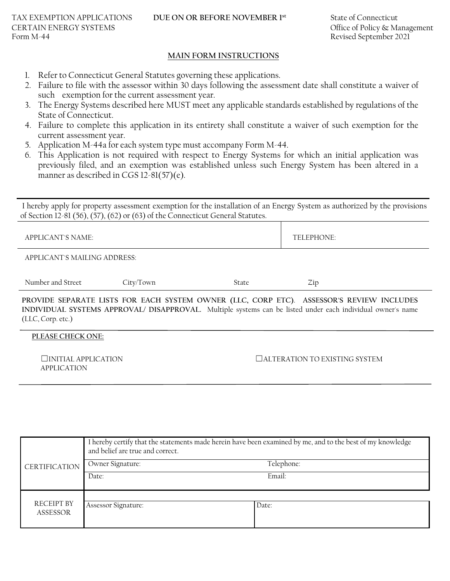#### **MAIN FORM INSTRUCTIONS**

- 1. Refer to Connecticut General Statutes governing these applications.
- 2. Failure to file with the assessor within 30 days following the assessment date shall constitute a waiver of such exemption for the current assessment year.
- 3. The Energy Systems described here MUST meet any applicable standards established by regulations of the State of Connecticut.
- 4. Failure to complete this application in its entirety shall constitute a waiver of such exemption for the current assessment year.
- 5. Application M-44a for each system type must accompany Form M-44.
- 6. This Application is not required with respect to Energy Systems for which an initial application was previously filed, and an exemption was established unless such Energy System has been altered in a manner as described in CGS 12-81(57)(e).

I hereby apply for property assessment exemption for the installation of an Energy System as authorized by the provisions of Section 12-81 (56), (57), (62) or (63) of the Connecticut General Statutes.

| APPLICANT'S NAME:            |           | TELEPHONE: |                                                                                  |
|------------------------------|-----------|------------|----------------------------------------------------------------------------------|
| APPLICANT'S MAILING ADDRESS: |           |            |                                                                                  |
| Number and Street            | City/Town | State      | Zip                                                                              |
|                              |           |            | ,但是,我们的人们就是一个人们的人们,我们的人们就是一个人们的人们,我们的人们就是一个人们的人们,我们的人们就是一个人们的人们,我们的人们就是一个人们的人们,我 |

**PROVIDE SEPARATE LISTS FOR EACH SYSTEM OWNER (LLC, CORP ETC)**. **ASSESSOR'S REVIEW INCLUDES INDIVIDUAL SYSTEMS APPROVAL/ DISAPPROVAL.** Multiple systems can be listed under each individual owner's name (LLC, Corp. etc.)

#### **PLEASE CHECK ONE:**

APPLICATION

### ☐INITIAL APPLICATION ☐ALTERATION TO EXISTING SYSTEM

|                        | I hereby certify that the statements made herein have been examined by me, and to the best of my knowledge<br>and belief are true and correct. |            |  |  |
|------------------------|------------------------------------------------------------------------------------------------------------------------------------------------|------------|--|--|
| <b>CERTIFICATION</b>   | Owner Signature:                                                                                                                               | Telephone: |  |  |
|                        | Date:                                                                                                                                          | Email:     |  |  |
| RECEIPT BY<br>ASSESSOR | Assessor Signature:                                                                                                                            | Date:      |  |  |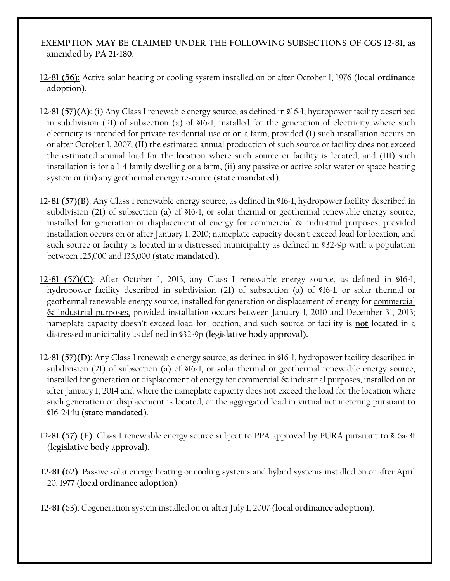# **EXEMPTION MAY BE CLAIMED UNDER THE FOLLOWING SUBSECTIONS OF CGS 12-81, as amended by PA 21-180:**

- **12-81 (56):** Active solar heating or cooling system installed on or after October 1, 1976 (**local ordinance adoption**).
- **12-81 (57)(A)**: (i) Any Class I renewable energy source, as defined in §16-1; hydropower facility described in subdivision (21) of subsection (a) of §16-1, installed for the generation of electricity where such electricity is intended for private residential use or on a farm, provided (I) such installation occurs on or after October 1, 2007, (II) the estimated annual production of such source or facility does not exceed the estimated annual load for the location where such source or facility is located, and (III) such installation is for a 1-4 family dwelling or a farm, (ii) any passive or active solar water or space heating system or (iii) any geothermal energy resource (**state mandated**).
- **12-81 (57)(B)**: Any Class I renewable energy source, as defined in §16-1, hydropower facility described in subdivision (21) of subsection (a) of §16-1, or solar thermal or geothermal renewable energy source, installed for generation or displacement of energy for commercial  $\&$  industrial purposes, provided installation occurs on or after January 1, 2010; nameplate capacity doesn't exceed load for location, and such source or facility is located in a distressed municipality as defined in §32-9p with a population between 125,000 and 135,000 (**state mandated).**
- **12-81 (57)(C)**: After October 1, 2013, any Class I renewable energy source, as defined in §16-1, hydropower facility described in subdivision (21) of subsection (a) of §16-1, or solar thermal or geothermal renewable energy source, installed for generation or displacement of energy for commercial & industrial purposes, provided installation occurs between January 1, 2010 and December 31, 2013; nameplate capacity doesn't exceed load for location, and such source or facility is **not** located in a distressed municipality as defined in §32-9p (**legislative body approval).**
- **12-81 (57)(D)**: Any Class I renewable energy source, as defined in §16-1, hydropower facility described in subdivision (21) of subsection (a) of §16-1, or solar thermal or geothermal renewable energy source, installed for generation or displacement of energy for commercial & industrial purposes, installed on or after January 1, 2014 and where the nameplate capacity does not exceed the load for the location where such generation or displacement is located, or the aggregated load in virtual net metering pursuant to §16-244u (**state mandated**).
- **12-81 (57) (F)**: Class I renewable energy source subject to PPA approved by PURA pursuant to §16a-3f (**legislative body approval**).
- **12-81 (62)**: Passive solar energy heating or cooling systems and hybrid systems installed on or after April 20, 1977 (**local ordinance adoption**).

**12-81 (63)**: Cogeneration system installed on or after July 1, 2007 (**local ordinance adoption**).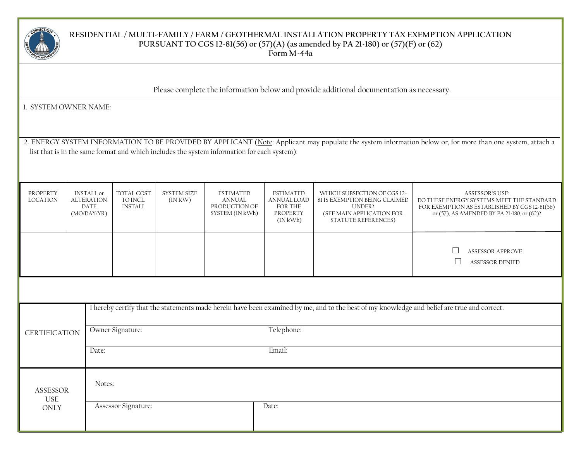

### **RESIDENTIAL / MULTI-FAMILY / FARM / GEOTHERMAL INSTALLATION PROPERTY TAX EXEMPTION APPLICATION PURSUANT TO CGS 12-81(56) or (57)(A) (as amended by PA 21-180) or (57)(F) or (62) Form M-44a**

 $\overline{a}$ 

Please complete the information below and provide additional documentation as necessary.

1. SYSTEM OWNER NAME:

2. ENERGY SYSTEM INFORMATION TO BE PROVIDED BY APPLICANT (Note: Applicant may populate the system information below or, for more than one system, attach a list that is in the same format and which includes the system information for each system):

| PROPERTY<br><b>LOCATION</b>                            | <b>INSTALL</b> or<br><b>ALTERATION</b><br><b>DATE</b><br>(MO/DAY/YR)                                                                        | <b>TOTAL COST</b><br>TO INCL.<br><b>INSTALL</b> | <b>SYSTEM SIZE</b><br>$($ IN KW $)$ | <b>ESTIMATED</b><br><b>ANNUAL</b><br>PRODUCTION OF<br>SYSTEM (IN kWh) | <b>ESTIMATED</b><br><b>ANNUAL LOAD</b><br>FOR THE<br>PROPERTY<br>$($ IN kWh $)$ | WHICH SUBSECTION OF CGS 12-<br>81 IS EXEMPTION BEING CLAIMED<br><b>UNDER?</b><br>(SEE MAIN APPLICATION FOR<br><b>STATUTE REFERENCES)</b> | <b>ASSESSOR'S USE:</b><br>DO THESE ENERGY SYSTEMS MEET THE STANDARD<br>FOR EXEMPTION AS ESTABLISHED BY CGS 12-81(56)<br>or (57), AS AMENDED BY PA 21-180, or (62)? |  |  |  |
|--------------------------------------------------------|---------------------------------------------------------------------------------------------------------------------------------------------|-------------------------------------------------|-------------------------------------|-----------------------------------------------------------------------|---------------------------------------------------------------------------------|------------------------------------------------------------------------------------------------------------------------------------------|--------------------------------------------------------------------------------------------------------------------------------------------------------------------|--|--|--|
|                                                        |                                                                                                                                             |                                                 |                                     |                                                                       |                                                                                 |                                                                                                                                          | <b>ASSESSOR APPROVE</b><br><b>ASSESSOR DENIED</b>                                                                                                                  |  |  |  |
|                                                        |                                                                                                                                             |                                                 |                                     |                                                                       |                                                                                 |                                                                                                                                          |                                                                                                                                                                    |  |  |  |
|                                                        | I hereby certify that the statements made herein have been examined by me, and to the best of my knowledge and belief are true and correct. |                                                 |                                     |                                                                       |                                                                                 |                                                                                                                                          |                                                                                                                                                                    |  |  |  |
| Owner Signature:<br>Telephone:<br><b>CERTIFICATION</b> |                                                                                                                                             |                                                 |                                     |                                                                       |                                                                                 |                                                                                                                                          |                                                                                                                                                                    |  |  |  |
| Email:<br>Date:                                        |                                                                                                                                             |                                                 |                                     |                                                                       |                                                                                 |                                                                                                                                          |                                                                                                                                                                    |  |  |  |
| ASSESSOR<br><b>USE</b>                                 |                                                                                                                                             | Notes:                                          |                                     |                                                                       |                                                                                 |                                                                                                                                          |                                                                                                                                                                    |  |  |  |
| ONLY                                                   |                                                                                                                                             | Assessor Signature:                             |                                     |                                                                       | Date:                                                                           |                                                                                                                                          |                                                                                                                                                                    |  |  |  |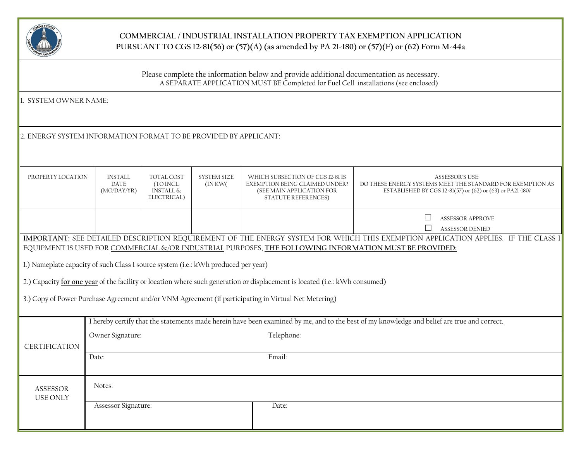

## **COMMERCIAL / INDUSTRIAL INSTALLATION PROPERTY TAX EXEMPTION APPLICATION PURSUANT TO CGS 12-81(56) or (57)(A) (as amended by PA 21-180) or (57)(F) or (62) Form M-44a**

Please complete the information below and provide additional documentation as necessary. A SEPARATE APPLICATION MUST BE Completed for Fuel Cell installations (see enclosed)

1. SYSTEM OWNER NAME:

2. ENERGY SYSTEM INFORMATION FORMAT TO BE PROVIDED BY APPLICANT:

| PROPERTY LOCATION                                                                  | <b>INSTALL</b><br><b>DATE</b><br>(MO/DAY/YR)                                                                                                | <b>TOTAL COST</b><br>(TO INCL.<br>INSTALL &<br>ELECTRICAL) | <b>SYSTEM SIZE</b><br>(INKW() | WHICH SUBSECTION OF CGS 12-81 IS<br>EXEMPTION BEING CLAIMED UNDER?<br>(SEE MAIN APPLICATION FOR<br><b>STATUTE REFERENCES)</b> | <b>ASSESSOR'S USE:</b><br>DO THESE ENERGY SYSTEMS MEET THE STANDARD FOR EXEMPTION AS<br>ESTABLISHED BY CGS 12-81(57) or (62) or (63) or PA21-180? |  |  |
|------------------------------------------------------------------------------------|---------------------------------------------------------------------------------------------------------------------------------------------|------------------------------------------------------------|-------------------------------|-------------------------------------------------------------------------------------------------------------------------------|---------------------------------------------------------------------------------------------------------------------------------------------------|--|--|
|                                                                                    |                                                                                                                                             |                                                            |                               |                                                                                                                               | <b>ASSESSOR APPROVE</b><br><b>ASSESSOR DENIED</b>                                                                                                 |  |  |
|                                                                                    |                                                                                                                                             |                                                            |                               |                                                                                                                               | <b>IMPORTANT:</b> SEE DETAILED DESCRIPTION REQUIREMENT OF THE ENERGY SYSTEM FOR WHICH THIS EXEMPTION APPLICATION APPLIES. IF THE CLASS I          |  |  |
|                                                                                    |                                                                                                                                             |                                                            |                               | EQUIPMENT IS USED FOR COMMERCIAL &/OR INDUSTRIAL PURPOSES, THE FOLLOWING INFORMATION MUST BE PROVIDED:                        |                                                                                                                                                   |  |  |
| 1.) Nameplate capacity of such Class I source system (i.e.: kWh produced per year) |                                                                                                                                             |                                                            |                               |                                                                                                                               |                                                                                                                                                   |  |  |
|                                                                                    |                                                                                                                                             |                                                            |                               | 2.) Capacity for one year of the facility or location where such generation or displacement is located (i.e.: kWh consumed)   |                                                                                                                                                   |  |  |
|                                                                                    | 3.) Copy of Power Purchase Agreement and/or VNM Agreement (if participating in Virtual Net Metering)                                        |                                                            |                               |                                                                                                                               |                                                                                                                                                   |  |  |
|                                                                                    | I hereby certify that the statements made herein have been examined by me, and to the best of my knowledge and belief are true and correct. |                                                            |                               |                                                                                                                               |                                                                                                                                                   |  |  |
|                                                                                    | Telephone:<br>Owner Signature:                                                                                                              |                                                            |                               |                                                                                                                               |                                                                                                                                                   |  |  |
| <b>CERTIFICATION</b><br>Email:<br>Date:                                            |                                                                                                                                             |                                                            |                               |                                                                                                                               |                                                                                                                                                   |  |  |
|                                                                                    |                                                                                                                                             |                                                            |                               |                                                                                                                               |                                                                                                                                                   |  |  |
| ASSESSOR<br><b>USE ONLY</b>                                                        | Notes:                                                                                                                                      |                                                            |                               |                                                                                                                               |                                                                                                                                                   |  |  |
|                                                                                    | Assessor Signature:<br>Date:                                                                                                                |                                                            |                               |                                                                                                                               |                                                                                                                                                   |  |  |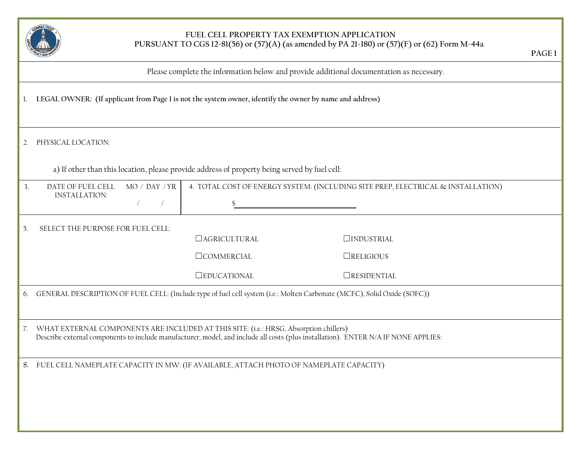

### **FUEL CELL PROPERTY TAX EXEMPTION APPLICATION PURSUANT TO CGS 12-81(56) or (57)(A) (as amended by PA 21-180) or (57)(F) or (62) Form M-44a**

| Please complete the information below and provide additional documentation as necessary. |
|------------------------------------------------------------------------------------------|
|                                                                                          |
|                                                                                          |

- 1. **LEGAL OWNER: (If applicant from Page 1 is not the system owner, identify the owner by name and address)**
- 2. PHYSICAL LOCATION:

a) If other than this location, please provide address of property being served by fuel cell:

| 3.             | DATE OF FUEL CELL<br><b>INSTALLATION:</b>                                                                                                                                                                                   | MO / DAY / YR | 4. TOTAL COST OF ENERGY SYSTEM: (INCLUDING SITE PREP, ELECTRICAL & INSTALLATION) |                     |  |  |  |  |
|----------------|-----------------------------------------------------------------------------------------------------------------------------------------------------------------------------------------------------------------------------|---------------|----------------------------------------------------------------------------------|---------------------|--|--|--|--|
|                |                                                                                                                                                                                                                             |               |                                                                                  |                     |  |  |  |  |
| 5.             | SELECT THE PURPOSE FOR FUEL CELL:                                                                                                                                                                                           |               |                                                                                  |                     |  |  |  |  |
|                |                                                                                                                                                                                                                             |               | <b>CAGRICULTURAL</b>                                                             | $\Box$ INDUSTRIAL   |  |  |  |  |
|                |                                                                                                                                                                                                                             |               | <b>COMMERCIAL</b>                                                                | $\Box$ RELIGIOUS    |  |  |  |  |
|                |                                                                                                                                                                                                                             |               | <b>OEDUCATIONAL</b>                                                              | <b>ORESIDENTIAL</b> |  |  |  |  |
| 6.             | GENERAL DESCRIPTION OF FUEL CELL: (Include type of fuel cell system (i.e.: Molten Carbonate (MCFC), Solid Oxide (SOFC))                                                                                                     |               |                                                                                  |                     |  |  |  |  |
| 7 <sup>1</sup> | WHAT EXTERNAL COMPONENTS ARE INCLUDED AT THIS SITE: (i.e.: HRSG, Absorption chillers)<br>Describe external components to include manufacturer, model, and include all costs (plus installation). ENTER N/A IF NONE APPLIES: |               |                                                                                  |                     |  |  |  |  |
|                | 8. FUEL CELL NAMEPLATE CAPACITY IN MW: (IF AVAILABLE, ATTACH PHOTO OF NAMEPLATE CAPACITY)                                                                                                                                   |               |                                                                                  |                     |  |  |  |  |